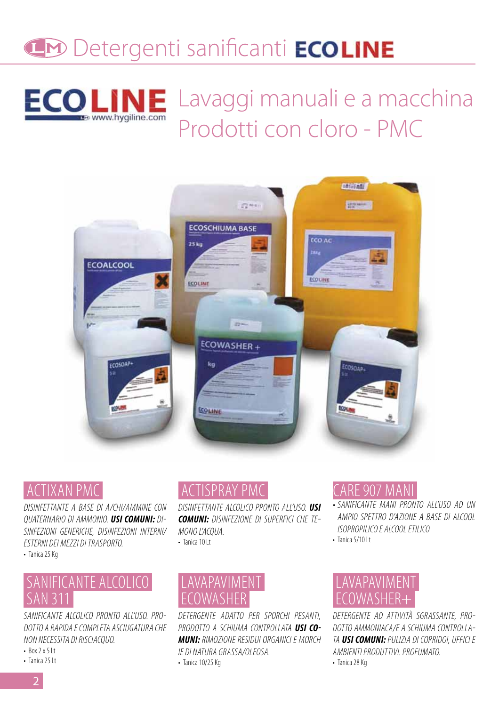# **Detergenti sanificanti ECOLINE**



Lavaggi manuali e a macchina Prodotti con cloro - PMC



#### CTIXAN PMC

DISINFETTANTE A BASE DI A/CHI/AMMINE CON QUATERNARIO DI AMMONIO. *USI COMUNI:* DI-SINFEZIONI GENERICHE, DISINFEZIONI INTERNI/ ESTERNI DEI MEZZI DI TRASPORTO. • Tanica 25 Kg

# SANIFICANTE ALCOLICO SAN 311

SANIFICANTE ALCOLICO PRONTO ALL'USO. PRO-DOTTO A RAPIDA E COMPLETA ASCIUGATURA CHE NON NECESSITA DI RISCIACQUO.

- $-Box$  2  $x$  5 lt
- Tanica 25 Lt

# TISPRAY PMC

DISINFETTANTE ALCOLICO PRONTO ALL'USO. *USI COMUNI:* DISINFEZIONE DI SUPERFICI CHE TE-MONO L'ACQUA. • Tanica 10 It

#### LAVAPAVIMENT OWASHER

DETERGENTE ADATTO PER SPORCHI PESANTI, PRODOTTO A SCHIUMA CONTROLLATA *USI CO-MUNI:* RIMOZIONE RESIDUI ORGANICI E MORCH IE DI NATURA GRASSA/OLEOSA. • Tanica 10/25 Kg

#### CARE 907 MANI

- SANIFICANTE MANI PRONTO ALL'USO AD UN AMPIO SPETTRO D'AZIONE A BASE DI ALCOOL ISOPROPILICO E ALCOOL ETILICO
- $\cdot$  Tanica 5/10 Lt

### LAVAPAVIMENT ECOWASHER+

DETERGENTE AD ATTIVITÀ SGRASSANTE, PRO-DOTTO AMMONIACA/E A SCHIUMA CONTROLLA-TA *USI COMUNI:* PULIZIA DI CORRIDOI, UFFICI E AMBIENTI PRODUTTIVI. PROFUMATO. • Tanica 28 Kg

2